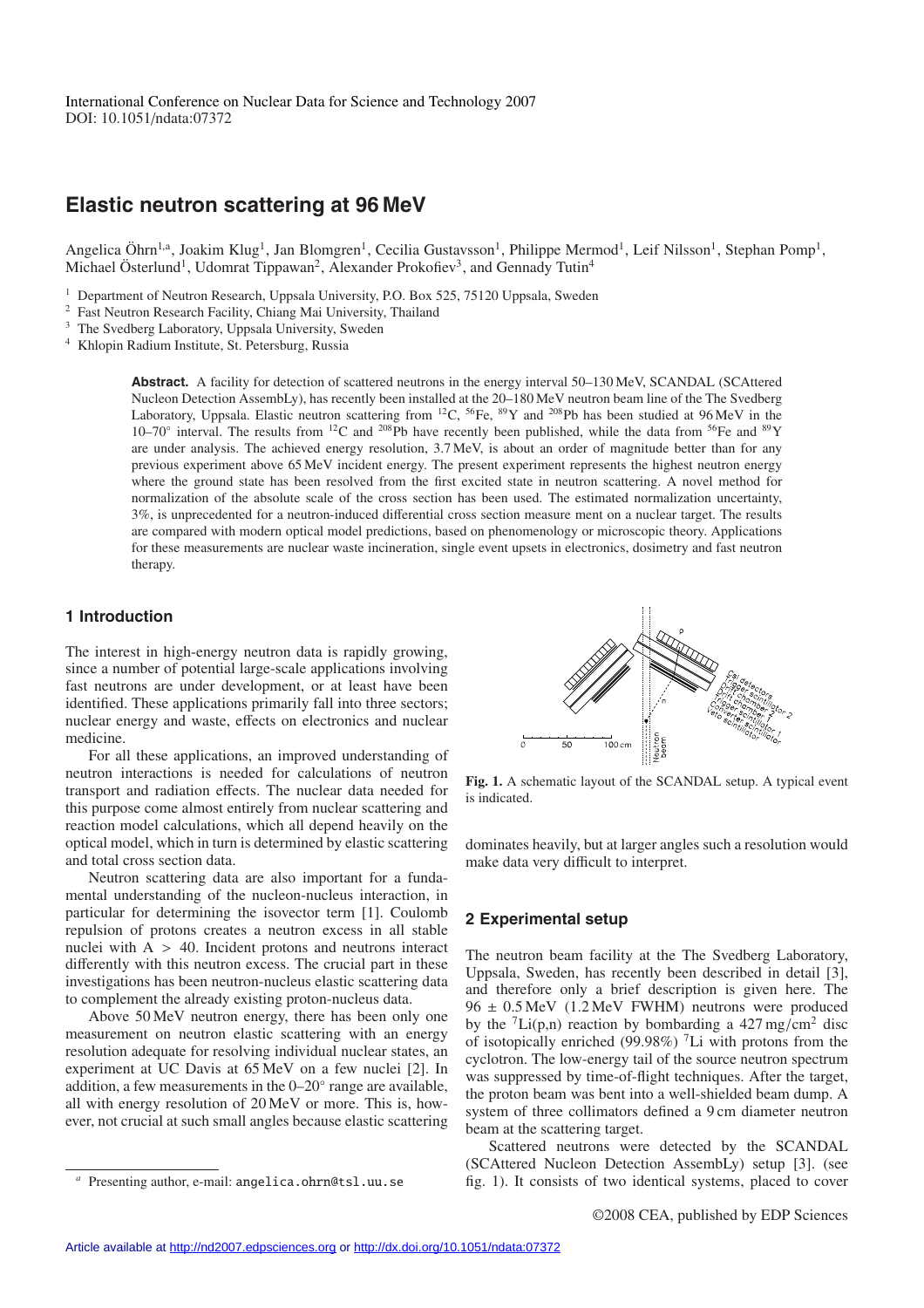# **Elastic neutron scattering at 96 MeV**

Angelica Öhrn<sup>1,a</sup>, Joakim Klug<sup>1</sup>, Jan Blomgren<sup>1</sup>, Cecilia Gustavsson<sup>1</sup>, Philippe Mermod<sup>1</sup>, Leif Nilsson<sup>1</sup>, Stephan Pomp<sup>1</sup>, Michael Österlund<sup>1</sup>, Udomrat Tippawan<sup>2</sup>, Alexander Prokofiev<sup>3</sup>, and Gennady Tutin<sup>4</sup>

- <sup>1</sup> Department of Neutron Research, Uppsala University, P.O. Box 525, 75120 Uppsala, Sweden
- <sup>2</sup> Fast Neutron Research Facility, Chiang Mai University, Thailand
- <sup>3</sup> The Svedberg Laboratory, Uppsala University, Sweden
- <sup>4</sup> Khlopin Radium Institute, St. Petersburg, Russia

**Abstract.** A facility for detection of scattered neutrons in the energy interval 50–130 MeV, SCANDAL (SCAttered Nucleon Detection AssembLy), has recently been installed at the 20–180 MeV neutron beam line of the The Svedberg Laboratory, Uppsala. Elastic neutron scattering from <sup>12</sup>C, <sup>56</sup>Fe, <sup>89</sup>Y and <sup>208</sup>Pb has been studied at 96 MeV in the 10–70° interval. The results from <sup>12</sup>C and <sup>208</sup>Pb have recently been published, while the data from <sup>56</sup>Fe and <sup>89</sup>Y are under analysis. The achieved energy resolution, 3.7 MeV, is about an order of magnitude better than for any previous experiment above 65 MeV incident energy. The present experiment represents the highest neutron energy where the ground state has been resolved from the first excited state in neutron scattering. A novel method for normalization of the absolute scale of the cross section has been used. The estimated normalization uncertainty, 3%, is unprecedented for a neutron-induced differential cross section measure ment on a nuclear target. The results are compared with modern optical model predictions, based on phenomenology or microscopic theory. Applications for these measurements are nuclear waste incineration, single event upsets in electronics, dosimetry and fast neutron therapy.

# **1 Introduction**

The interest in high-energy neutron data is rapidly growing, since a number of potential large-scale applications involving fast neutrons are under development, or at least have been identified. These applications primarily fall into three sectors; nuclear energy and waste, effects on electronics and nuclear medicine.

For all these applications, an improved understanding of neutron interactions is needed for calculations of neutron transport and radiation effects. The nuclear data needed for this purpose come almost entirely from nuclear scattering and reaction model calculations, which all depend heavily on the optical model, which in turn is determined by elastic scattering and total cross section data.

Neutron scattering data are also important for a fundamental understanding of the nucleon-nucleus interaction, in particular for determining the isovector term [1]. Coulomb repulsion of protons creates a neutron excess in all stable nuclei with  $A > 40$ . Incident protons and neutrons interact differently with this neutron excess. The crucial part in these investigations has been neutron-nucleus elastic scattering data to complement the already existing proton-nucleus data.

Above 50 MeV neutron energy, there has been only one measurement on neutron elastic scattering with an energy resolution adequate for resolving individual nuclear states, an experiment at UC Davis at 65 MeV on a few nuclei [2]. In addition, a few measurements in the 0–20◦ range are available, all with energy resolution of 20 MeV or more. This is, however, not crucial at such small angles because elastic scattering



**Fig. 1.** A schematic layout of the SCANDAL setup. A typical event is indicated.

dominates heavily, but at larger angles such a resolution would make data very difficult to interpret.

### **2 Experimental setup**

The neutron beam facility at the The Svedberg Laboratory, Uppsala, Sweden, has recently been described in detail [3], and therefore only a brief description is given here. The  $96 \pm 0.5 \,\text{MeV}$  (1.2 MeV FWHM) neutrons were produced by the  ${}^{7}Li(p,n)$  reaction by bombarding a 427 mg/cm<sup>2</sup> disc of isotopically enriched (99.98%) <sup>7</sup>Li with protons from the cyclotron. The low-energy tail of the source neutron spectrum was suppressed by time-of-flight techniques. After the target, the proton beam was bent into a well-shielded beam dump. A system of three collimators defined a 9 cm diameter neutron beam at the scattering target.

Scattered neutrons were detected by the SCANDAL (SCAttered Nucleon Detection AssembLy) setup [3]. (see fig. 1). It consists of two identical systems, placed to cover

*<sup>a</sup>* Presenting author, e-mail: angelica.ohrn@tsl.uu.se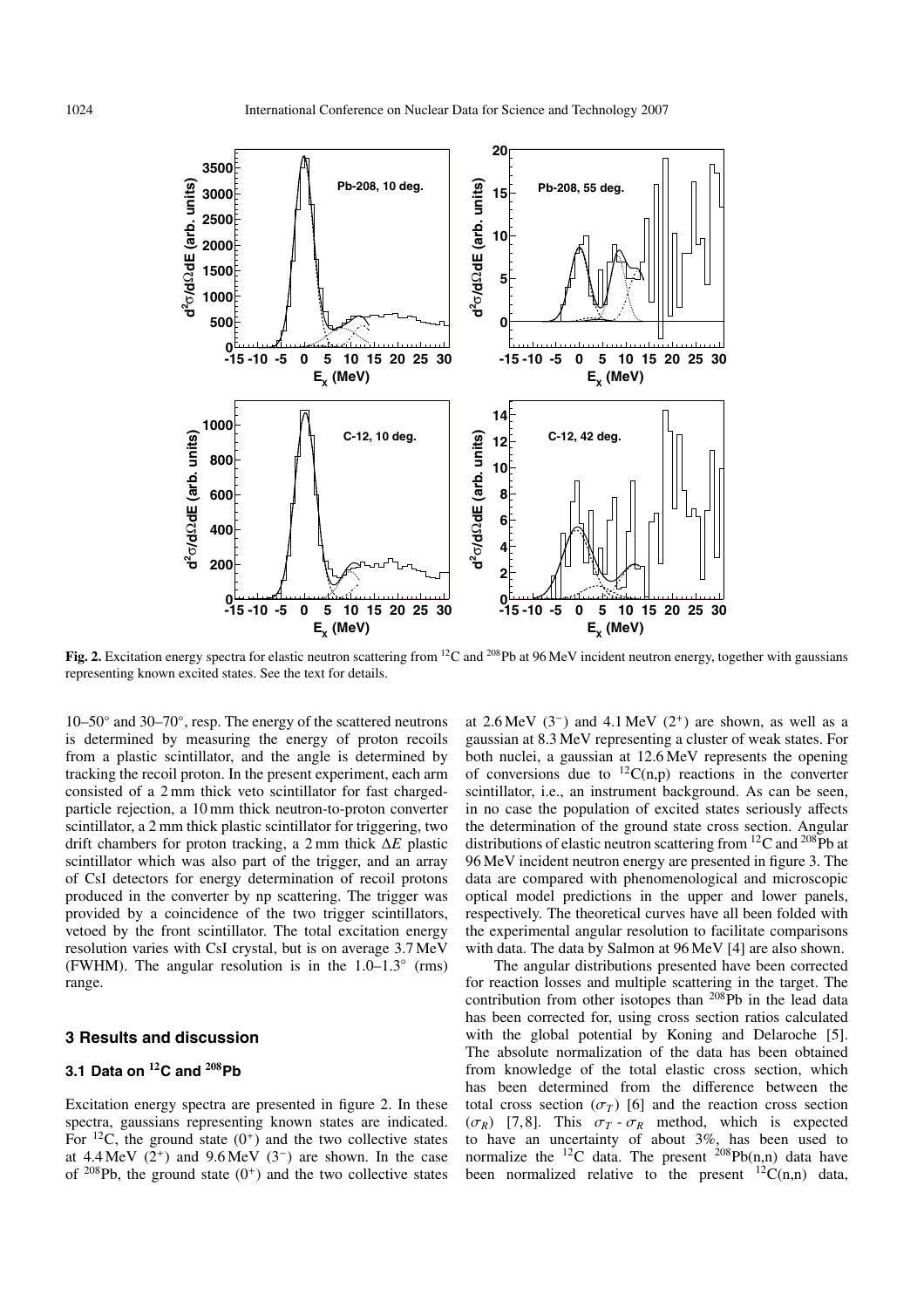

**Fig. 2.** Excitation energy spectra for elastic neutron scattering from <sup>12</sup>C and <sup>208</sup>Pb at 96 MeV incident neutron energy, together with gaussians representing known excited states. See the text for details.

10–50◦ and 30–70◦, resp. The energy of the scattered neutrons is determined by measuring the energy of proton recoils from a plastic scintillator, and the angle is determined by tracking the recoil proton. In the present experiment, each arm consisted of a 2 mm thick veto scintillator for fast chargedparticle rejection, a 10 mm thick neutron-to-proton converter scintillator, a 2 mm thick plastic scintillator for triggering, two drift chambers for proton tracking, a 2 mm thick ∆*E* plastic scintillator which was also part of the trigger, and an array of CsI detectors for energy determination of recoil protons produced in the converter by np scattering. The trigger was provided by a coincidence of the two trigger scintillators, vetoed by the front scintillator. The total excitation energy resolution varies with CsI crystal, but is on average 3.7 MeV (FWHM). The angular resolution is in the  $1.0-1.3°$  (rms) range.

# **3 Results and discussion**

# **3.1 Data on <sup>12</sup>C and <sup>208</sup>Pb**

Excitation energy spectra are presented in figure 2. In these spectra, gaussians representing known states are indicated. For  $^{12}$ C, the ground state  $(0^+)$  and the two collective states at 4.4 MeV  $(2^+)$  and 9.6 MeV  $(3^-)$  are shown. In the case of  $208Pb$ , the ground state  $(0^+)$  and the two collective states at  $2.6 \text{ MeV}$  (3<sup>-</sup>) and  $4.1 \text{ MeV}$  (2<sup>+</sup>) are shown, as well as a gaussian at 8.3 MeV representing a cluster of weak states. For both nuclei, a gaussian at 12.6 MeV represents the opening of conversions due to  ${}^{12}C(n,p)$  reactions in the converter scintillator, i.e., an instrument background. As can be seen, in no case the population of excited states seriously affects the determination of the ground state cross section. Angular distributions of elastic neutron scattering from  ${}^{12}C$  and  ${}^{208}Pb$  at 96 MeV incident neutron energy are presented in figure 3. The data are compared with phenomenological and microscopic optical model predictions in the upper and lower panels, respectively. The theoretical curves have all been folded with the experimental angular resolution to facilitate comparisons with data. The data by Salmon at 96 MeV [4] are also shown.

The angular distributions presented have been corrected for reaction losses and multiple scattering in the target. The contribution from other isotopes than  $^{208}Pb$  in the lead data has been corrected for, using cross section ratios calculated with the global potential by Koning and Delaroche [5]. The absolute normalization of the data has been obtained from knowledge of the total elastic cross section, which has been determined from the difference between the total cross section  $(\sigma_T)$  [6] and the reaction cross section ( $\sigma_R$ ) [7,8]. This  $\sigma_T - \sigma_R$  method, which is expected to have an uncertainty of about 3%, has been used to normalize the <sup>12</sup>C data. The present <sup>208</sup>Pb(n,n) data have been normalized relative to the present  ${}^{12}C(n,n)$  data,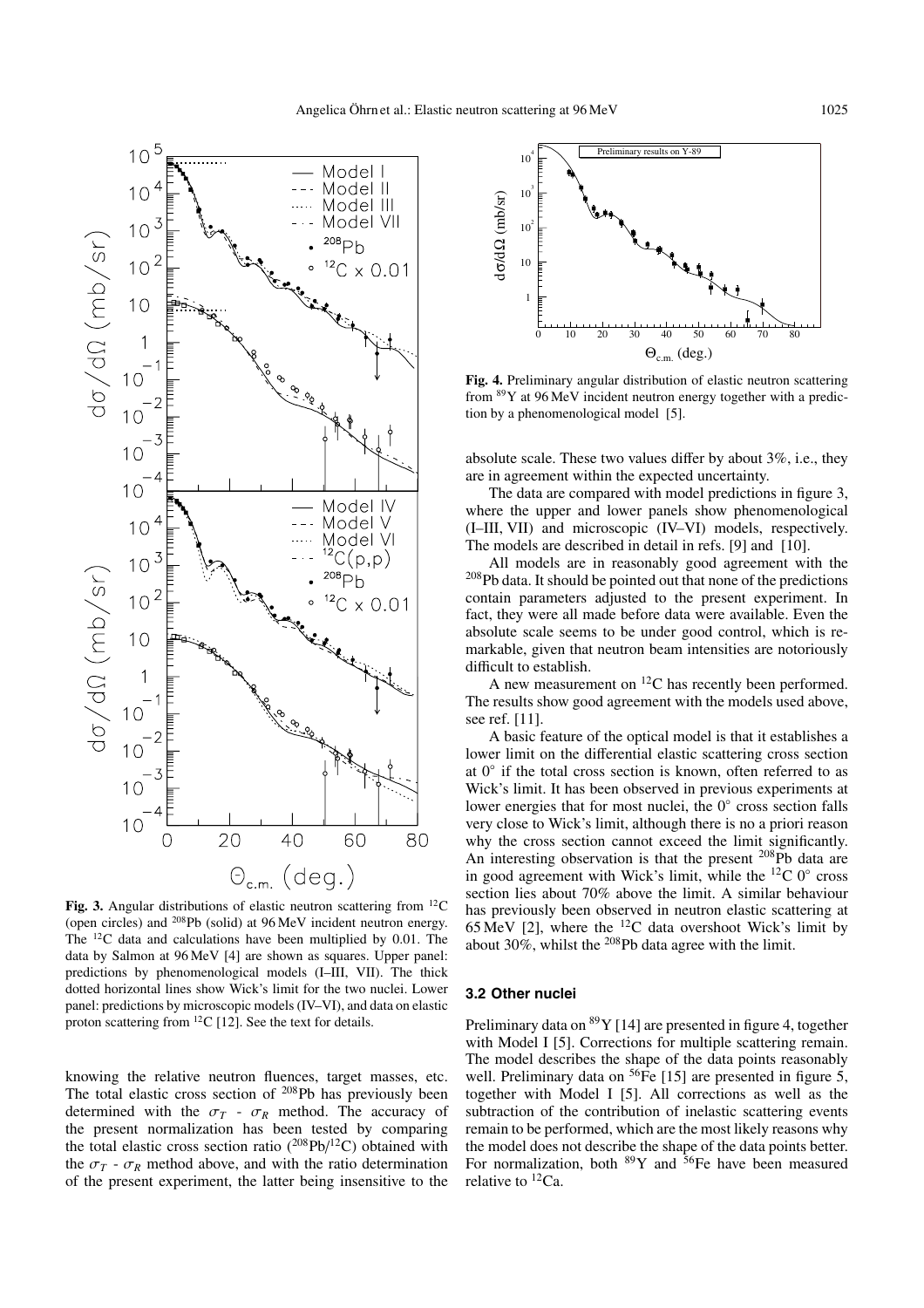

Fig. 3. Angular distributions of elastic neutron scattering from <sup>12</sup>C (open circles) and 208Pb (solid) at 96 MeV incident neutron energy. The 12C data and calculations have been multiplied by 0.01. The data by Salmon at 96 MeV [4] are shown as squares. Upper panel: predictions by phenomenological models (I–III, VII). The thick dotted horizontal lines show Wick's limit for the two nuclei. Lower panel: predictions by microscopic models (IV–VI), and data on elastic proton scattering from  ${}^{12}C$  [12]. See the text for details.

knowing the relative neutron fluences, target masses, etc. The total elastic cross section of <sup>208</sup>Pb has previously been determined with the  $\sigma_T$  -  $\sigma_R$  method. The accuracy of the present normalization has been tested by comparing the total elastic cross section ratio  $(^{208}Pb/^{12}C)$  obtained with the  $\sigma_T$  -  $\sigma_R$  method above, and with the ratio determination of the present experiment, the latter being insensitive to the



**Fig. 4.** Preliminary angular distribution of elastic neutron scattering from 89Y at 96 MeV incident neutron energy together with a prediction by a phenomenological model [5].

absolute scale. These two values differ by about 3%, i.e., they are in agreement within the expected uncertainty.

The data are compared with model predictions in figure 3, where the upper and lower panels show phenomenological (I–III, VII) and microscopic (IV–VI) models, respectively. The models are described in detail in refs. [9] and [10].

All models are in reasonably good agreement with the 208Pb data. It should be pointed out that none of the predictions contain parameters adjusted to the present experiment. In fact, they were all made before data were available. Even the absolute scale seems to be under good control, which is remarkable, given that neutron beam intensities are notoriously difficult to establish.

A new measurement on  ${}^{12}C$  has recently been performed. The results show good agreement with the models used above, see ref. [11].

A basic feature of the optical model is that it establishes a lower limit on the differential elastic scattering cross section at  $0°$  if the total cross section is known, often referred to as Wick's limit. It has been observed in previous experiments at lower energies that for most nuclei, the 0◦ cross section falls very close to Wick's limit, although there is no a priori reason why the cross section cannot exceed the limit significantly. An interesting observation is that the present  $^{208}$ Pb data are in good agreement with Wick's limit, while the  ${}^{12}C$  0 $^{\circ}$  cross section lies about 70% above the limit. A similar behaviour has previously been observed in neutron elastic scattering at 65 MeV [2], where the  ${}^{12}$ C data overshoot Wick's limit by about  $30\%$ , whilst the <sup>208</sup>Pb data agree with the limit.

### **3.2 Other nuclei**

Preliminary data on  ${}^{89}Y$  [14] are presented in figure 4, together with Model I [5]. Corrections for multiple scattering remain. The model describes the shape of the data points reasonably well. Preliminary data on  ${}^{56}Fe$  [15] are presented in figure 5, together with Model I [5]. All corrections as well as the subtraction of the contribution of inelastic scattering events remain to be performed, which are the most likely reasons why the model does not describe the shape of the data points better. For normalization, both  ${}^{89}Y$  and  ${}^{56}Fe$  have been measured relative to  ${}^{12}Ca$ .